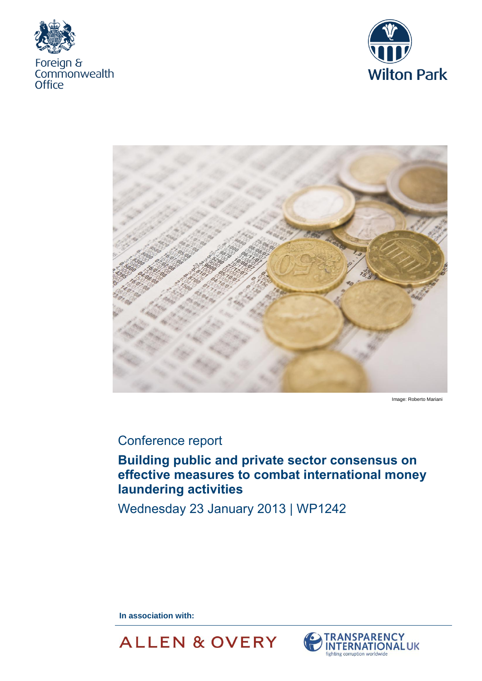





Image: Roberto Mariani

# Conference report

## **Building public and private sector consensus on effective measures to combat international money laundering activities**

Wednesday 23 January 2013 | WP1242

**In association with:** 



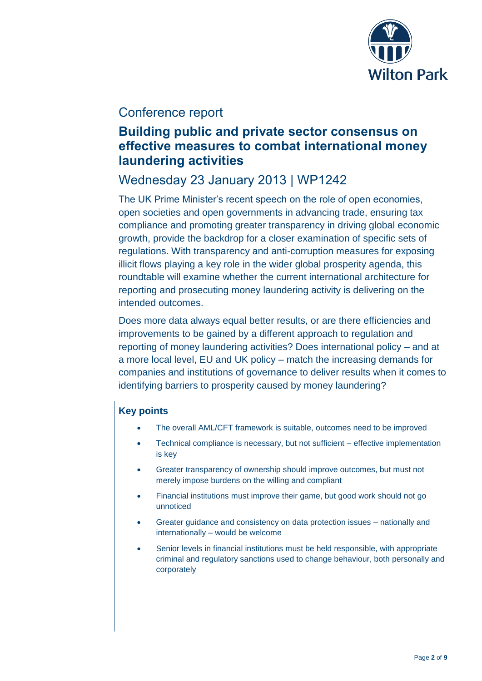

## Conference report

## **Building public and private sector consensus on effective measures to combat international money laundering activities**

## Wednesday 23 January 2013 | WP1242

The UK Prime Minister's recent speech on the role of open economies, open societies and open governments in advancing trade, ensuring tax compliance and promoting greater transparency in driving global economic growth, provide the backdrop for a closer examination of specific sets of regulations. With transparency and anti-corruption measures for exposing illicit flows playing a key role in the wider global prosperity agenda, this roundtable will examine whether the current international architecture for reporting and prosecuting money laundering activity is delivering on the intended outcomes.

Does more data always equal better results, or are there efficiencies and improvements to be gained by a different approach to regulation and reporting of money laundering activities? Does international policy – and at a more local level, EU and UK policy – match the increasing demands for companies and institutions of governance to deliver results when it comes to identifying barriers to prosperity caused by money laundering?

## **Key points**

- The overall AML/CFT framework is suitable, outcomes need to be improved
- Technical compliance is necessary, but not sufficient effective implementation is key
- Greater transparency of ownership should improve outcomes, but must not merely impose burdens on the willing and compliant
- Financial institutions must improve their game, but good work should not go unnoticed
- Greater guidance and consistency on data protection issues nationally and internationally – would be welcome
- Senior levels in financial institutions must be held responsible, with appropriate criminal and regulatory sanctions used to change behaviour, both personally and corporately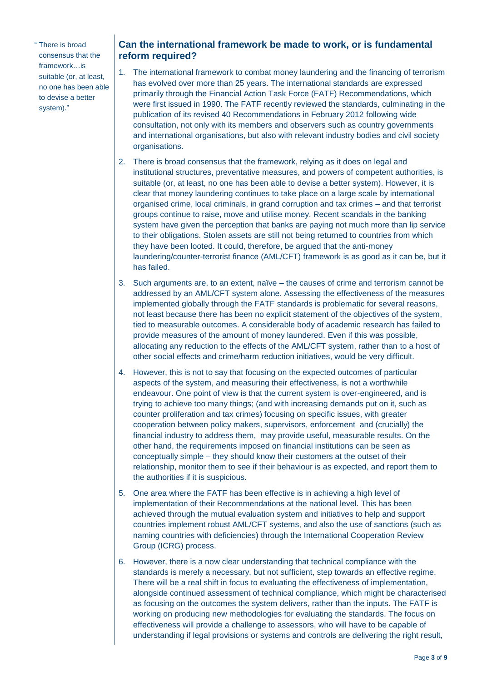" There is broad consensus that the framework…is suitable (or, at least, no one has been able to devise a better system)."

### **Can the international framework be made to work, or is fundamental reform required?**

- 1. The international framework to combat money laundering and the financing of terrorism has evolved over more than 25 years. The international standards are expressed primarily through the Financial Action Task Force (FATF) Recommendations, which were first issued in 1990. The FATF recently reviewed the standards, culminating in the publication of its revised 40 Recommendations in February 2012 following wide consultation, not only with its members and observers such as country governments and international organisations, but also with relevant industry bodies and civil society organisations.
- 2. There is broad consensus that the framework, relying as it does on legal and institutional structures, preventative measures, and powers of competent authorities, is suitable (or, at least, no one has been able to devise a better system). However, it is clear that money laundering continues to take place on a large scale by international organised crime, local criminals, in grand corruption and tax crimes – and that terrorist groups continue to raise, move and utilise money. Recent scandals in the banking system have given the perception that banks are paying not much more than lip service to their obligations. Stolen assets are still not being returned to countries from which they have been looted. It could, therefore, be argued that the anti-money laundering/counter-terrorist finance (AML/CFT) framework is as good as it can be, but it has failed.
- 3. Such arguments are, to an extent, naïve the causes of crime and terrorism cannot be addressed by an AML/CFT system alone. Assessing the effectiveness of the measures implemented globally through the FATF standards is problematic for several reasons, not least because there has been no explicit statement of the objectives of the system, tied to measurable outcomes. A considerable body of academic research has failed to provide measures of the amount of money laundered. Even if this was possible, allocating any reduction to the effects of the AML/CFT system, rather than to a host of other social effects and crime/harm reduction initiatives, would be very difficult.
- 4. However, this is not to say that focusing on the expected outcomes of particular aspects of the system, and measuring their effectiveness, is not a worthwhile endeavour. One point of view is that the current system is over-engineered, and is trying to achieve too many things; (and with increasing demands put on it, such as counter proliferation and tax crimes) focusing on specific issues, with greater cooperation between policy makers, supervisors, enforcement and (crucially) the financial industry to address them, may provide useful, measurable results. On the other hand, the requirements imposed on financial institutions can be seen as conceptually simple – they should know their customers at the outset of their relationship, monitor them to see if their behaviour is as expected, and report them to the authorities if it is suspicious.
- 5. One area where the FATF has been effective is in achieving a high level of implementation of their Recommendations at the national level. This has been achieved through the mutual evaluation system and initiatives to help and support countries implement robust AML/CFT systems, and also the use of sanctions (such as naming countries with deficiencies) through the International Cooperation Review Group (ICRG) process.
- 6. However, there is a now clear understanding that technical compliance with the standards is merely a necessary, but not sufficient, step towards an effective regime. There will be a real shift in focus to evaluating the effectiveness of implementation, alongside continued assessment of technical compliance, which might be characterised as focusing on the outcomes the system delivers, rather than the inputs. The FATF is working on producing new methodologies for evaluating the standards. The focus on effectiveness will provide a challenge to assessors, who will have to be capable of understanding if legal provisions or systems and controls are delivering the right result,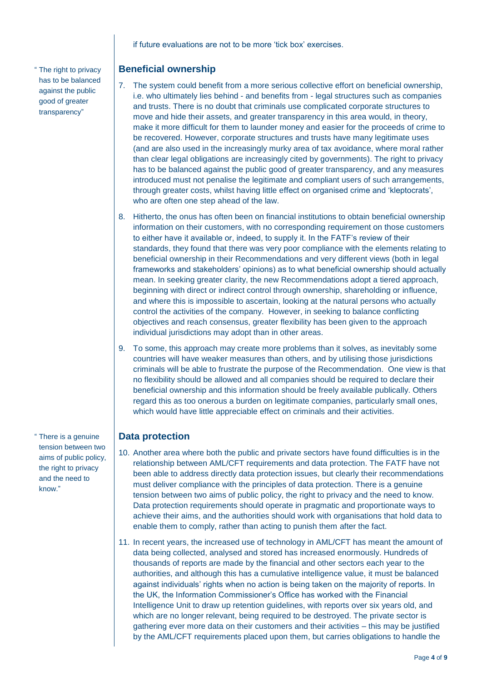if future evaluations are not to be more 'tick box' exercises.

" The right to privacy has to be balanced against the public good of greater transparency"

### **Beneficial ownership**

- 7. The system could benefit from a more serious collective effort on beneficial ownership, i.e. who ultimately lies behind - and benefits from - legal structures such as companies and trusts. There is no doubt that criminals use complicated corporate structures to move and hide their assets, and greater transparency in this area would, in theory, make it more difficult for them to launder money and easier for the proceeds of crime to be recovered. However, corporate structures and trusts have many legitimate uses (and are also used in the increasingly murky area of tax avoidance, where moral rather than clear legal obligations are increasingly cited by governments). The right to privacy has to be balanced against the public good of greater transparency, and any measures introduced must not penalise the legitimate and compliant users of such arrangements, through greater costs, whilst having little effect on organised crime and 'kleptocrats', who are often one step ahead of the law.
- 8. Hitherto, the onus has often been on financial institutions to obtain beneficial ownership information on their customers, with no corresponding requirement on those customers to either have it available or, indeed, to supply it. In the FATF's review of their standards, they found that there was very poor compliance with the elements relating to beneficial ownership in their Recommendations and very different views (both in legal frameworks and stakeholders' opinions) as to what beneficial ownership should actually mean. In seeking greater clarity, the new Recommendations adopt a tiered approach, beginning with direct or indirect control through ownership, shareholding or influence, and where this is impossible to ascertain, looking at the natural persons who actually control the activities of the company. However, in seeking to balance conflicting objectives and reach consensus, greater flexibility has been given to the approach individual jurisdictions may adopt than in other areas.
- 9. To some, this approach may create more problems than it solves, as inevitably some countries will have weaker measures than others, and by utilising those jurisdictions criminals will be able to frustrate the purpose of the Recommendation. One view is that no flexibility should be allowed and all companies should be required to declare their beneficial ownership and this information should be freely available publically. Others regard this as too onerous a burden on legitimate companies, particularly small ones, which would have little appreciable effect on criminals and their activities.

## **Data protection**

- 10. Another area where both the public and private sectors have found difficulties is in the relationship between AML/CFT requirements and data protection. The FATF have not been able to address directly data protection issues, but clearly their recommendations must deliver compliance with the principles of data protection. There is a genuine tension between two aims of public policy, the right to privacy and the need to know. Data protection requirements should operate in pragmatic and proportionate ways to achieve their aims, and the authorities should work with organisations that hold data to enable them to comply, rather than acting to punish them after the fact.
- 11. In recent years, the increased use of technology in AML/CFT has meant the amount of data being collected, analysed and stored has increased enormously. Hundreds of thousands of reports are made by the financial and other sectors each year to the authorities, and although this has a cumulative intelligence value, it must be balanced against individuals' rights when no action is being taken on the majority of reports. In the UK, the Information Commissioner's Office has worked with the Financial Intelligence Unit to draw up retention guidelines, with reports over six years old, and which are no longer relevant, being required to be destroyed. The private sector is gathering ever more data on their customers and their activities – this may be justified by the AML/CFT requirements placed upon them, but carries obligations to handle the

" There is a genuine tension between two aims of public policy, the right to privacy and the need to know."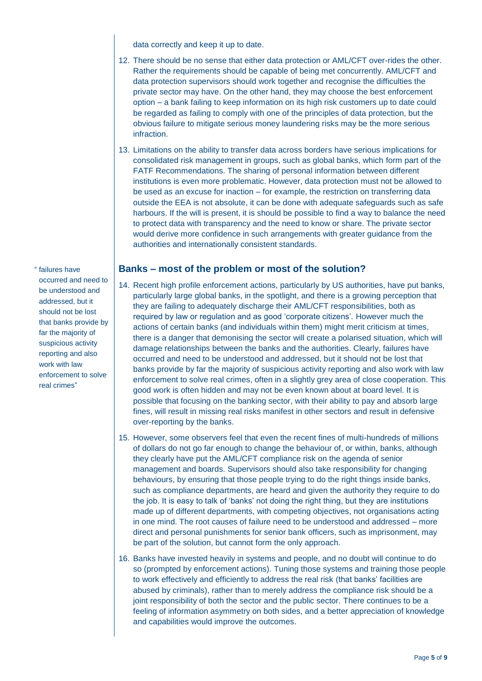data correctly and keep it up to date.

- 12. There should be no sense that either data protection or AML/CFT over-rides the other. Rather the requirements should be capable of being met concurrently. AML/CFT and data protection supervisors should work together and recognise the difficulties the private sector may have. On the other hand, they may choose the best enforcement option – a bank failing to keep information on its high risk customers up to date could be regarded as failing to comply with one of the principles of data protection, but the obvious failure to mitigate serious money laundering risks may be the more serious infraction.
- 13. Limitations on the ability to transfer data across borders have serious implications for consolidated risk management in groups, such as global banks, which form part of the FATF Recommendations. The sharing of personal information between different institutions is even more problematic. However, data protection must not be allowed to be used as an excuse for inaction – for example, the restriction on transferring data outside the EEA is not absolute, it can be done with adequate safeguards such as safe harbours. If the will is present, it is should be possible to find a way to balance the need to protect data with transparency and the need to know or share. The private sector would derive more confidence in such arrangements with greater guidance from the authorities and internationally consistent standards.

### **Banks – most of the problem or most of the solution?**

- 14. Recent high profile enforcement actions, particularly by US authorities, have put banks, particularly large global banks, in the spotlight, and there is a growing perception that they are failing to adequately discharge their AML/CFT responsibilities, both as required by law or regulation and as good 'corporate citizens'. However much the actions of certain banks (and individuals within them) might merit criticism at times, there is a danger that demonising the sector will create a polarised situation, which will damage relationships between the banks and the authorities. Clearly, failures have occurred and need to be understood and addressed, but it should not be lost that banks provide by far the majority of suspicious activity reporting and also work with law enforcement to solve real crimes, often in a slightly grey area of close cooperation. This good work is often hidden and may not be even known about at board level. It is possible that focusing on the banking sector, with their ability to pay and absorb large fines, will result in missing real risks manifest in other sectors and result in defensive over-reporting by the banks.
- 15. However, some observers feel that even the recent fines of multi-hundreds of millions of dollars do not go far enough to change the behaviour of, or within, banks, although they clearly have put the AML/CFT compliance risk on the agenda of senior management and boards. Supervisors should also take responsibility for changing behaviours, by ensuring that those people trying to do the right things inside banks, such as compliance departments, are heard and given the authority they require to do the job. It is easy to talk of 'banks' not doing the right thing, but they are institutions made up of different departments, with competing objectives, not organisations acting in one mind. The root causes of failure need to be understood and addressed – more direct and personal punishments for senior bank officers, such as imprisonment, may be part of the solution, but cannot form the only approach.
- 16. Banks have invested heavily in systems and people, and no doubt will continue to do so (prompted by enforcement actions). Tuning those systems and training those people to work effectively and efficiently to address the real risk (that banks' facilities are abused by criminals), rather than to merely address the compliance risk should be a joint responsibility of both the sector and the public sector. There continues to be a feeling of information asymmetry on both sides, and a better appreciation of knowledge and capabilities would improve the outcomes.

" failures have occurred and need to be understood and addressed, but it should not be lost that banks provide by far the majority of suspicious activity reporting and also work with law enforcement to solve real crimes"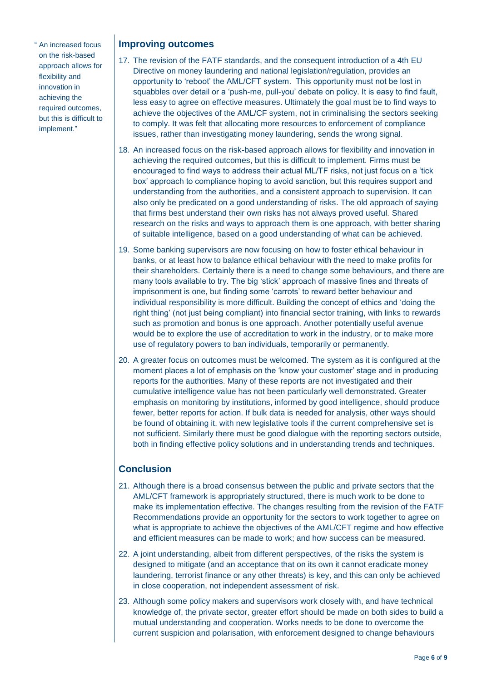" An increased focus on the risk-based approach allows for flexibility and innovation in achieving the required outcomes, but this is difficult to implement."

### **Improving outcomes**

- 17. The revision of the FATF standards, and the consequent introduction of a 4th EU Directive on money laundering and national legislation/regulation, provides an opportunity to 'reboot' the AML/CFT system. This opportunity must not be lost in squabbles over detail or a 'push-me, pull-you' debate on policy. It is easy to find fault, less easy to agree on effective measures. Ultimately the goal must be to find ways to achieve the objectives of the AML/CF system, not in criminalising the sectors seeking to comply. It was felt that allocating more resources to enforcement of compliance issues, rather than investigating money laundering, sends the wrong signal.
- 18. An increased focus on the risk-based approach allows for flexibility and innovation in achieving the required outcomes, but this is difficult to implement. Firms must be encouraged to find ways to address their actual ML/TF risks, not just focus on a 'tick box' approach to compliance hoping to avoid sanction, but this requires support and understanding from the authorities, and a consistent approach to supervision. It can also only be predicated on a good understanding of risks. The old approach of saying that firms best understand their own risks has not always proved useful. Shared research on the risks and ways to approach them is one approach, with better sharing of suitable intelligence, based on a good understanding of what can be achieved.
- 19. Some banking supervisors are now focusing on how to foster ethical behaviour in banks, or at least how to balance ethical behaviour with the need to make profits for their shareholders. Certainly there is a need to change some behaviours, and there are many tools available to try. The big 'stick' approach of massive fines and threats of imprisonment is one, but finding some 'carrots' to reward better behaviour and individual responsibility is more difficult. Building the concept of ethics and 'doing the right thing' (not just being compliant) into financial sector training, with links to rewards such as promotion and bonus is one approach. Another potentially useful avenue would be to explore the use of accreditation to work in the industry, or to make more use of regulatory powers to ban individuals, temporarily or permanently.
- 20. A greater focus on outcomes must be welcomed. The system as it is configured at the moment places a lot of emphasis on the 'know your customer' stage and in producing reports for the authorities. Many of these reports are not investigated and their cumulative intelligence value has not been particularly well demonstrated. Greater emphasis on monitoring by institutions, informed by good intelligence, should produce fewer, better reports for action. If bulk data is needed for analysis, other ways should be found of obtaining it, with new legislative tools if the current comprehensive set is not sufficient. Similarly there must be good dialogue with the reporting sectors outside, both in finding effective policy solutions and in understanding trends and techniques.

## **Conclusion**

- 21. Although there is a broad consensus between the public and private sectors that the AML/CFT framework is appropriately structured, there is much work to be done to make its implementation effective. The changes resulting from the revision of the FATF Recommendations provide an opportunity for the sectors to work together to agree on what is appropriate to achieve the objectives of the AML/CFT regime and how effective and efficient measures can be made to work; and how success can be measured.
- 22. A joint understanding, albeit from different perspectives, of the risks the system is designed to mitigate (and an acceptance that on its own it cannot eradicate money laundering, terrorist finance or any other threats) is key, and this can only be achieved in close cooperation, not independent assessment of risk.
- 23. Although some policy makers and supervisors work closely with, and have technical knowledge of, the private sector, greater effort should be made on both sides to build a mutual understanding and cooperation. Works needs to be done to overcome the current suspicion and polarisation, with enforcement designed to change behaviours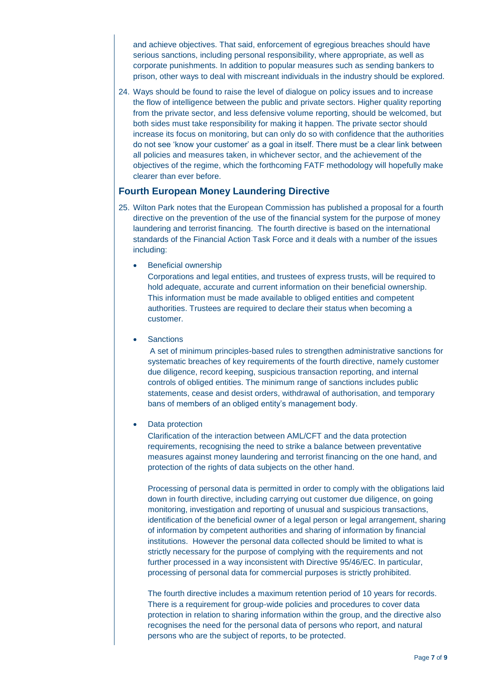and achieve objectives. That said, enforcement of egregious breaches should have serious sanctions, including personal responsibility, where appropriate, as well as corporate punishments. In addition to popular measures such as sending bankers to prison, other ways to deal with miscreant individuals in the industry should be explored.

24. Ways should be found to raise the level of dialogue on policy issues and to increase the flow of intelligence between the public and private sectors. Higher quality reporting from the private sector, and less defensive volume reporting, should be welcomed, but both sides must take responsibility for making it happen. The private sector should increase its focus on monitoring, but can only do so with confidence that the authorities do not see 'know your customer' as a goal in itself. There must be a clear link between all policies and measures taken, in whichever sector, and the achievement of the objectives of the regime, which the forthcoming FATF methodology will hopefully make clearer than ever before.

### **Fourth European Money Laundering Directive**

- 25. Wilton Park notes that the European Commission has published a proposal for a fourth directive on the prevention of the use of the financial system for the purpose of money laundering and terrorist financing. The fourth directive is based on the international standards of the Financial Action Task Force and it deals with a number of the issues including:
	- Beneficial ownership

Corporations and legal entities, and trustees of express trusts, will be required to hold adequate, accurate and current information on their beneficial ownership. This information must be made available to obliged entities and competent authorities. Trustees are required to declare their status when becoming a customer.

**Sanctions** 

A set of minimum principles-based rules to strengthen administrative sanctions for systematic breaches of key requirements of the fourth directive, namely customer due diligence, record keeping, suspicious transaction reporting, and internal controls of obliged entities. The minimum range of sanctions includes public statements, cease and desist orders, withdrawal of authorisation, and temporary bans of members of an obliged entity's management body.

Data protection

Clarification of the interaction between AML/CFT and the data protection requirements, recognising the need to strike a balance between preventative measures against money laundering and terrorist financing on the one hand, and protection of the rights of data subjects on the other hand.

Processing of personal data is permitted in order to comply with the obligations laid down in fourth directive, including carrying out customer due diligence, on going monitoring, investigation and reporting of unusual and suspicious transactions, identification of the beneficial owner of a legal person or legal arrangement, sharing of information by competent authorities and sharing of information by financial institutions. However the personal data collected should be limited to what is strictly necessary for the purpose of complying with the requirements and not further processed in a way inconsistent with Directive 95/46/EC. In particular, processing of personal data for commercial purposes is strictly prohibited.

The fourth directive includes a maximum retention period of 10 years for records. There is a requirement for group-wide policies and procedures to cover data protection in relation to sharing information within the group, and the directive also recognises the need for the personal data of persons who report, and natural persons who are the subject of reports, to be protected.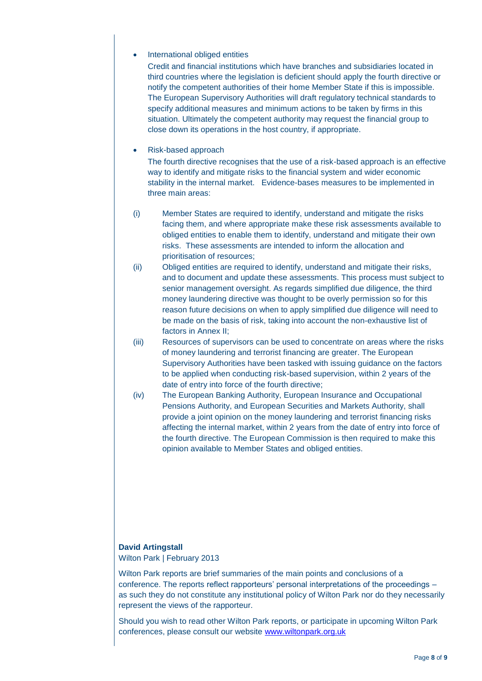#### International obliged entities

Credit and financial institutions which have branches and subsidiaries located in third countries where the legislation is deficient should apply the fourth directive or notify the competent authorities of their home Member State if this is impossible. The European Supervisory Authorities will draft regulatory technical standards to specify additional measures and minimum actions to be taken by firms in this situation. Ultimately the competent authority may request the financial group to close down its operations in the host country, if appropriate.

#### Risk-based approach

The fourth directive recognises that the use of a risk-based approach is an effective way to identify and mitigate risks to the financial system and wider economic stability in the internal market. Evidence-bases measures to be implemented in three main areas:

- (i) Member States are required to identify, understand and mitigate the risks facing them, and where appropriate make these risk assessments available to obliged entities to enable them to identify, understand and mitigate their own risks. These assessments are intended to inform the allocation and prioritisation of resources;
- (ii) Obliged entities are required to identify, understand and mitigate their risks, and to document and update these assessments. This process must subject to senior management oversight. As regards simplified due diligence, the third money laundering directive was thought to be overly permission so for this reason future decisions on when to apply simplified due diligence will need to be made on the basis of risk, taking into account the non-exhaustive list of factors in Annex II;
- (iii) Resources of supervisors can be used to concentrate on areas where the risks of money laundering and terrorist financing are greater. The European Supervisory Authorities have been tasked with issuing guidance on the factors to be applied when conducting risk-based supervision, within 2 years of the date of entry into force of the fourth directive;
- (iv) The European Banking Authority, European Insurance and Occupational Pensions Authority, and European Securities and Markets Authority, shall provide a joint opinion on the money laundering and terrorist financing risks affecting the internal market, within 2 years from the date of entry into force of the fourth directive. The European Commission is then required to make this opinion available to Member States and obliged entities.

### **David Artingstall**

Wilton Park | February 2013

Wilton Park reports are brief summaries of the main points and conclusions of a conference. The reports reflect rapporteurs' personal interpretations of the proceedings – as such they do not constitute any institutional policy of Wilton Park nor do they necessarily represent the views of the rapporteur.

Should you wish to read other Wilton Park reports, or participate in upcoming Wilton Park conferences, please consult our website [www.wiltonpark.org.uk](http://www.wiltonpark.org.uk/)